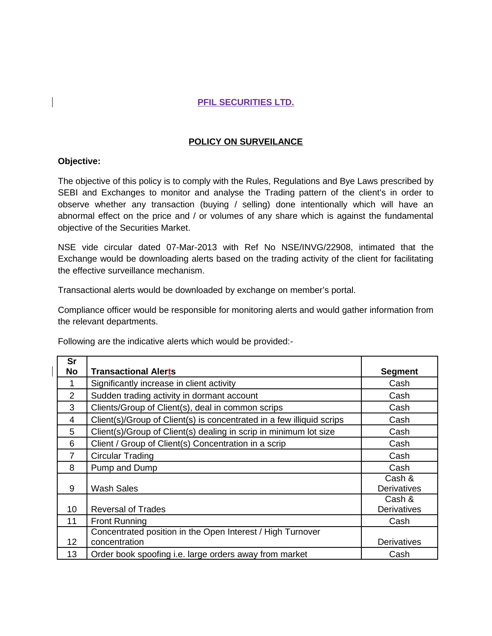## **PFIL SECURITIES LTD.**

## **POLICY ON SURVEILANCE**

## **Objective:**

The objective of this policy is to comply with the Rules, Regulations and Bye Laws prescribed by SEBI and Exchanges to monitor and analyse the Trading pattern of the client's in order to observe whether any transaction (buying / selling) done intentionally which will have an abnormal effect on the price and / or volumes of any share which is against the fundamental objective of the Securities Market.

NSE vide circular dated 07-Mar-2013 with Ref No NSE/INVG/22908, intimated that the Exchange would be downloading alerts based on the trading activity of the client for facilitating the effective surveillance mechanism.

Transactional alerts would be downloaded by exchange on member's portal.

Compliance officer would be responsible for monitoring alerts and would gather information from the relevant departments.

Following are the indicative alerts which would be provided:-

| Sr             |                                                                             |                              |
|----------------|-----------------------------------------------------------------------------|------------------------------|
| <b>No</b>      | <b>Transactional Alerts</b>                                                 | <b>Segment</b>               |
| 1              | Significantly increase in client activity                                   | Cash                         |
| 2              | Sudden trading activity in dormant account                                  | Cash                         |
| 3              | Clients/Group of Client(s), deal in common scrips                           | Cash                         |
| 4              | Client(s)/Group of Client(s) is concentrated in a few illiquid scrips       | Cash                         |
| 5              | Client(s)/Group of Client(s) dealing in scrip in minimum lot size           | Cash                         |
| 6              | Client / Group of Client(s) Concentration in a scrip                        | Cash                         |
| $\overline{7}$ | Circular Trading                                                            | Cash                         |
| 8              | Pump and Dump                                                               | Cash                         |
| 9              | Wash Sales                                                                  | Cash &<br><b>Derivatives</b> |
| 10             | <b>Reversal of Trades</b>                                                   | Cash &<br><b>Derivatives</b> |
| 11             | <b>Front Running</b>                                                        | Cash                         |
| 12             | Concentrated position in the Open Interest / High Turnover<br>concentration | <b>Derivatives</b>           |
| 13             | Order book spoofing i.e. large orders away from market                      | Cash                         |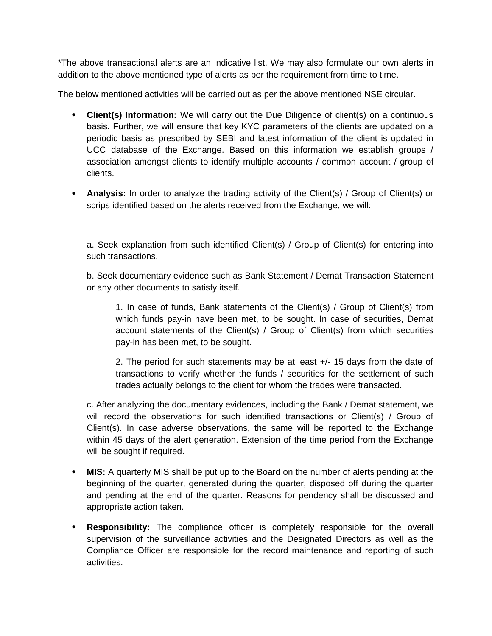\*The above transactional alerts are an indicative list. We may also formulate our own alerts in addition to the above mentioned type of alerts as per the requirement from time to time.

The below mentioned activities will be carried out as per the above mentioned NSE circular.

- **Client(s) Information:** We will carry out the Due Diligence of client(s) on a continuous basis. Further, we will ensure that key KYC parameters of the clients are updated on a periodic basis as prescribed by SEBI and latest information of the client is updated in UCC database of the Exchange. Based on this information we establish groups / association amongst clients to identify multiple accounts / common account / group of clients.
- Analysis: In order to analyze the trading activity of the Client(s) / Group of Client(s) or scrips identified based on the alerts received from the Exchange, we will:

a. Seek explanation from such identified Client(s) / Group of Client(s) for entering into such transactions.

b. Seek documentary evidence such as Bank Statement / Demat Transaction Statement or any other documents to satisfy itself.

1. In case of funds, Bank statements of the Client(s) / Group of Client(s) from which funds pay-in have been met, to be sought. In case of securities, Demat account statements of the Client(s) / Group of Client(s) from which securities pay-in has been met, to be sought.

2. The period for such statements may be at least +/- 15 days from the date of transactions to verify whether the funds / securities for the settlement of such trades actually belongs to the client for whom the trades were transacted.

c. After analyzing the documentary evidences, including the Bank / Demat statement, we will record the observations for such identified transactions or Client(s) / Group of Client(s). In case adverse observations, the same will be reported to the Exchange within 45 days of the alert generation. Extension of the time period from the Exchange will be sought if required.

- **MIS:** A quarterly MIS shall be put up to the Board on the number of alerts pending at the beginning of the quarter, generated during the quarter, disposed off during the quarter and pending at the end of the quarter. Reasons for pendency shall be discussed and appropriate action taken.
- **Responsibility:** The compliance officer is completely responsible for the overall supervision of the surveillance activities and the Designated Directors as well as the Compliance Officer are responsible for the record maintenance and reporting of such activities.